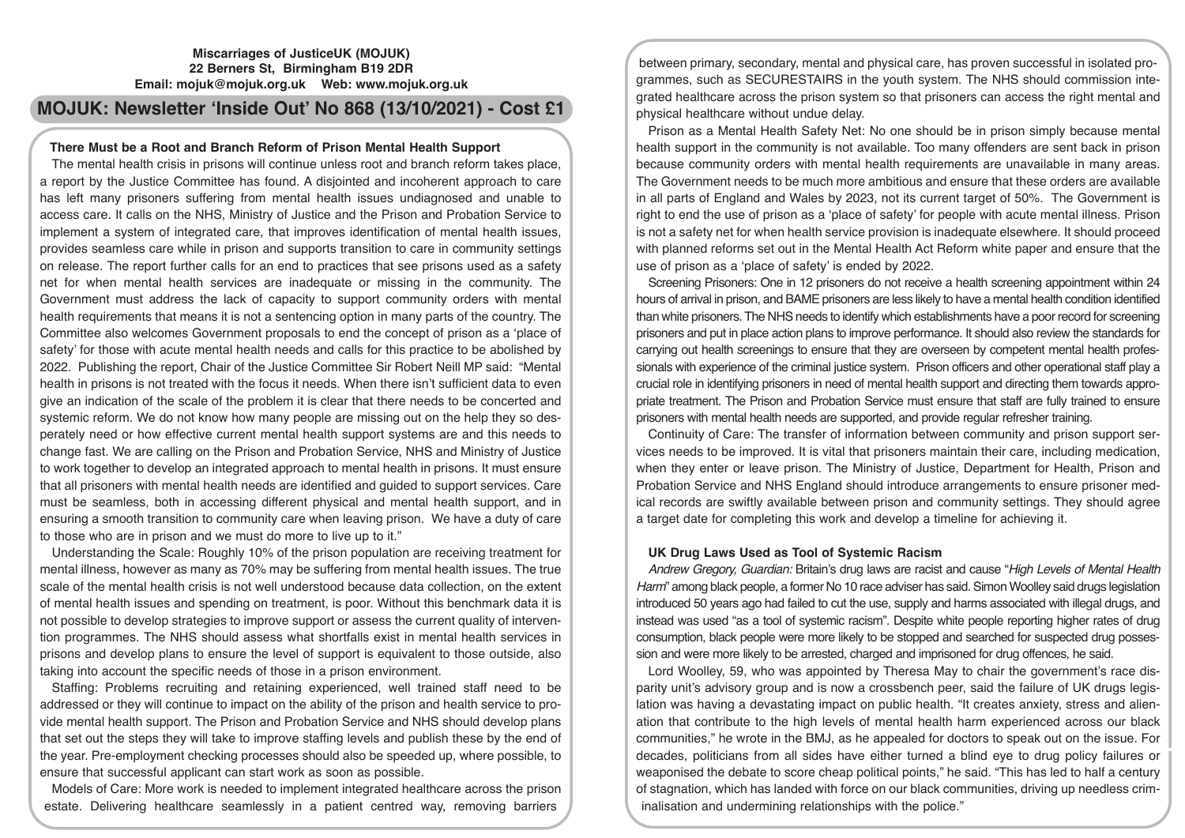## **Miscarriages of JusticeUK (MOJUK) 22 Berners St, Birmingham B19 2DR Email: mojuk@mojuk.org.uk Web: www.mojuk.org.uk**

# **MOJUK: Newsletter 'Inside Out' No 868 (13/10/2021) - Cost £1**

## **There Must be a Root and Branch Reform of Prison Mental Health Support**

The mental health crisis in prisons will continue unless root and branch reform takes place, a report by the Justice Committee has found. A disjointed and incoherent approach to care has left many prisoners suffering from mental health issues undiagnosed and unable to access care. It calls on the NHS, Ministry of Justice and the Prison and Probation Service to implement a system of integrated care, that improves identification of mental health issues, provides seamless care while in prison and supports transition to care in community settings on release. The report further calls for an end to practices that see prisons used as a safety net for when mental health services are inadequate or missing in the community. The Government must address the lack of capacity to support community orders with mental health requirements that means it is not a sentencing option in many parts of the country. The Committee also welcomes Government proposals to end the concept of prison as a 'place of safety' for those with acute mental health needs and calls for this practice to be abolished by 2022. Publishing the report, Chair of the Justice Committee Sir Robert Neill MP said: "Mental health in prisons is not treated with the focus it needs. When there isn't sufficient data to even give an indication of the scale of the problem it is clear that there needs to be concerted and systemic reform. We do not know how many people are missing out on the help they so desperately need or how effective current mental health support systems are and this needs to change fast. We are calling on the Prison and Probation Service, NHS and Ministry of Justice to work together to develop an integrated approach to mental health in prisons. It must ensure that all prisoners with mental health needs are identified and guided to support services. Care must be seamless, both in accessing different physical and mental health support, and in ensuring a smooth transition to community care when leaving prison. We have a duty of care to those who are in prison and we must do more to live up to it."

Understanding the Scale: Roughly 10% of the prison population are receiving treatment for mental illness, however as many as 70% may be suffering from mental health issues. The true scale of the mental health crisis is not well understood because data collection, on the extent of mental health issues and spending on treatment, is poor. Without this benchmark data it is not possible to develop strategies to improve support or assess the current quality of intervention programmes. The NHS should assess what shortfalls exist in mental health services in prisons and develop plans to ensure the level of support is equivalent to those outside, also taking into account the specific needs of those in a prison environment.

Staffing: Problems recruiting and retaining experienced, well trained staff need to be addressed or they will continue to impact on the ability of the prison and health service to provide mental health support. The Prison and Probation Service and NHS should develop plans that set out the steps they will take to improve staffing levels and publish these by the end of the year. Pre-employment checking processes should also be speeded up, where possible, to ensure that successful applicant can start work as soon as possible.

Models of Care: More work is needed to implement integrated healthcare across the prison estate. Delivering healthcare seamlessly in a patient centred way, removing barriers

between primary, secondary, mental and physical care, has proven successful in isolated programmes, such as SECURESTAIRS in the youth system. The NHS should commission integrated healthcare across the prison system so that prisoners can access the right mental and physical healthcare without undue delay.

Prison as a Mental Health Safety Net: No one should be in prison simply because mental health support in the community is not available. Too many offenders are sent back in prison because community orders with mental health requirements are unavailable in many areas. The Government needs to be much more ambitious and ensure that these orders are available in all parts of England and Wales by 2023, not its current target of 50%. The Government is right to end the use of prison as a 'place of safety' for people with acute mental illness. Prison is not a safety net for when health service provision is inadequate elsewhere. It should proceed with planned reforms set out in the Mental Health Act Reform white paper and ensure that the use of prison as a 'place of safety' is ended by 2022.

Screening Prisoners: One in 12 prisoners do not receive a health screening appointment within 24 hours of arrival in prison, and BAME prisoners are less likely to have a mental health condition identified than white prisoners. The NHS needs to identify which establishments have a poor record for screening prisoners and put in place action plans to improve performance. It should also review the standards for carrying out health screenings to ensure that they are overseen by competent mental health professionals with experience of the criminal justice system. Prison officers and other operational staff play a crucial role in identifying prisoners in need of mental health support and directing them towards appropriate treatment. The Prison and Probation Service must ensure that staff are fully trained to ensure prisoners with mental health needs are supported, and provide regular refresher training.

Continuity of Care: The transfer of information between community and prison support services needs to be improved. It is vital that prisoners maintain their care, including medication, when they enter or leave prison. The Ministry of Justice, Department for Health, Prison and Probation Service and NHS England should introduce arrangements to ensure prisoner medical records are swiftly available between prison and community settings. They should agree a target date for completing this work and develop a timeline for achieving it.

## **UK Drug Laws Used as Tool of Systemic Racism**

*Andrew Gregory, Guardian:* Britain's drug laws are racist and cause "*High Levels of Mental Health Harm*" among black people, a former No 10 race adviser has said. Simon Woolley said drugs legislation introduced 50 years ago had failed to cut the use, supply and harms associated with illegal drugs, and instead was used "as a tool of systemic racism". Despite white people reporting higher rates of drug consumption, black people were more likely to be stopped and searched for suspected drug possession and were more likely to be arrested, charged and imprisoned for drug offences, he said.

Lord Woolley, 59, who was appointed by Theresa May to chair the government's race disparity unit's advisory group and is now a crossbench peer, said the failure of UK drugs legislation was having a devastating impact on public health. "It creates anxiety, stress and alienation that contribute to the high levels of mental health harm experienced across our black communities," he wrote in the BMJ, as he appealed for doctors to speak out on the issue. For decades, politicians from all sides have either turned a blind eye to drug policy failures or weaponised the debate to score cheap political points," he said. "This has led to half a century of stagnation, which has landed with force on our black communities, driving up needless criminalisation and undermining relationships with the police."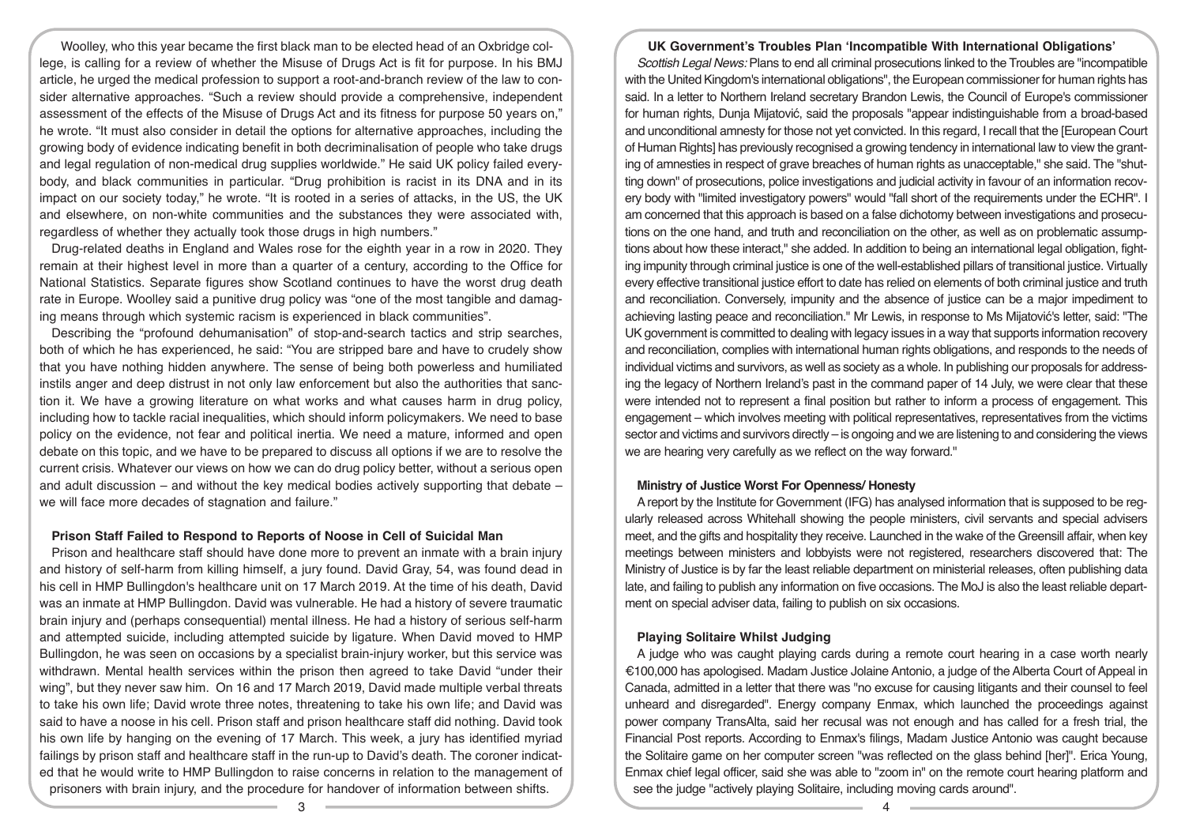Woolley, who this year became the first black man to be elected head of an Oxbridge college, is calling for a review of whether the Misuse of Drugs Act is fit for purpose. In his BMJ article, he urged the medical profession to support a root-and-branch review of the law to consider alternative approaches. "Such a review should provide a comprehensive, independent assessment of the effects of the Misuse of Drugs Act and its fitness for purpose 50 years on," he wrote. "It must also consider in detail the options for alternative approaches, including the growing body of evidence indicating benefit in both decriminalisation of people who take drugs and legal regulation of non-medical drug supplies worldwide." He said UK policy failed everybody, and black communities in particular. "Drug prohibition is racist in its DNA and in its impact on our society today," he wrote. "It is rooted in a series of attacks, in the US, the UK and elsewhere, on non-white communities and the substances they were associated with, regardless of whether they actually took those drugs in high numbers."

Drug-related deaths in England and Wales rose for the eighth year in a row in 2020. They remain at their highest level in more than a quarter of a century, according to the Office for National Statistics. Separate figures show Scotland continues to have the worst drug death rate in Europe. Woolley said a punitive drug policy was "one of the most tangible and damaging means through which systemic racism is experienced in black communities".

Describing the "profound dehumanisation" of stop-and-search tactics and strip searches, both of which he has experienced, he said: "You are stripped bare and have to crudely show that you have nothing hidden anywhere. The sense of being both powerless and humiliated instils anger and deep distrust in not only law enforcement but also the authorities that sanction it. We have a growing literature on what works and what causes harm in drug policy, including how to tackle racial inequalities, which should inform policymakers. We need to base policy on the evidence, not fear and political inertia. We need a mature, informed and open debate on this topic, and we have to be prepared to discuss all options if we are to resolve the current crisis. Whatever our views on how we can do drug policy better, without a serious open and adult discussion – and without the key medical bodies actively supporting that debate – we will face more decades of stagnation and failure."

#### **Prison Staff Failed to Respond to Reports of Noose in Cell of Suicidal Man**

Prison and healthcare staff should have done more to prevent an inmate with a brain injury and history of self-harm from killing himself, a jury found. David Gray, 54, was found dead in his cell in HMP Bullingdon's healthcare unit on 17 March 2019. At the time of his death, David was an inmate at HMP Bullingdon. David was vulnerable. He had a history of severe traumatic brain injury and (perhaps consequential) mental illness. He had a history of serious self-harm and attempted suicide, including attempted suicide by ligature. When David moved to HMP Bullingdon, he was seen on occasions by a specialist brain-injury worker, but this service was withdrawn. Mental health services within the prison then agreed to take David "under their wing", but they never saw him. On 16 and 17 March 2019, David made multiple verbal threats to take his own life; David wrote three notes, threatening to take his own life; and David was said to have a noose in his cell. Prison staff and prison healthcare staff did nothing. David took his own life by hanging on the evening of 17 March. This week, a jury has identified myriad failings by prison staff and healthcare staff in the run-up to David's death. The coroner indicated that he would write to HMP Bullingdon to raise concerns in relation to the management of prisoners with brain injury, and the procedure for handover of information between shifts.

#### **UK Government's Troubles Plan 'Incompatible With International Obligations'**

*Scottish Legal News:* Plans to end all criminal prosecutions linked to the Troubles are "incompatible with the United Kingdom's international obligations", the European commissioner for human rights has said. In a letter to Northern Ireland secretary Brandon Lewis, the Council of Europe's commissioner for human rights, Dunja Mijatović, said the proposals "appear indistinguishable from a broad-based and unconditional amnesty for those not yet convicted. In this regard, I recall that the [European Court of Human Rights] has previously recognised a growing tendency in international law to view the granting of amnesties in respect of grave breaches of human rights as unacceptable," she said. The "shutting down" of prosecutions, police investigations and judicial activity in favour of an information recovery body with "limited investigatory powers" would "fall short of the requirements under the ECHR". I am concerned that this approach is based on a false dichotomy between investigations and prosecutions on the one hand, and truth and reconciliation on the other, as well as on problematic assumptions about how these interact," she added. In addition to being an international legal obligation, fighting impunity through criminal justice is one of the well-established pillars of transitional justice. Virtually every effective transitional justice effort to date has relied on elements of both criminal justice and truth and reconciliation. Conversely, impunity and the absence of justice can be a major impediment to achieving lasting peace and reconciliation." Mr Lewis, in response to Ms Mijatović's letter, said: "The UK government is committed to dealing with legacy issues in a way that supports information recovery and reconciliation, complies with international human rights obligations, and responds to the needs of individual victims and survivors, as well as society as a whole. In publishing our proposals for addressing the legacy of Northern Ireland's past in the command paper of 14 July, we were clear that these were intended not to represent a final position but rather to inform a process of engagement. This engagement – which involves meeting with political representatives, representatives from the victims sector and victims and survivors directly – is ongoing and we are listening to and considering the views we are hearing very carefully as we reflect on the way forward."

## **Ministry of Justice Worst For Openness/ Honesty**

A report by the Institute for Government (IFG) has analysed information that is supposed to be regularly released across Whitehall showing the people ministers, civil servants and special advisers meet, and the gifts and hospitality they receive. Launched in the wake of the Greensill affair, when key meetings between ministers and lobbyists were not registered, researchers discovered that: The Ministry of Justice is by far the least reliable department on ministerial releases, often publishing data late, and failing to publish any information on five occasions. The MoJ is also the least reliable department on special adviser data, failing to publish on six occasions.

### **Playing Solitaire Whilst Judging**

A judge who was caught playing cards during a remote court hearing in a case worth nearly €100,000 has apologised. Madam Justice Jolaine Antonio, a judge of the Alberta Court of Appeal in Canada, admitted in a letter that there was "no excuse for causing litigants and their counsel to feel unheard and disregarded". Energy company Enmax, which launched the proceedings against power company TransAlta, said her recusal was not enough and has called for a fresh trial, the Financial Post reports. According to Enmax's filings, Madam Justice Antonio was caught because the Solitaire game on her computer screen "was reflected on the glass behind [her]". Erica Young, Enmax chief legal officer, said she was able to "zoom in" on the remote court hearing platform and see the judge "actively playing Solitaire, including moving cards around".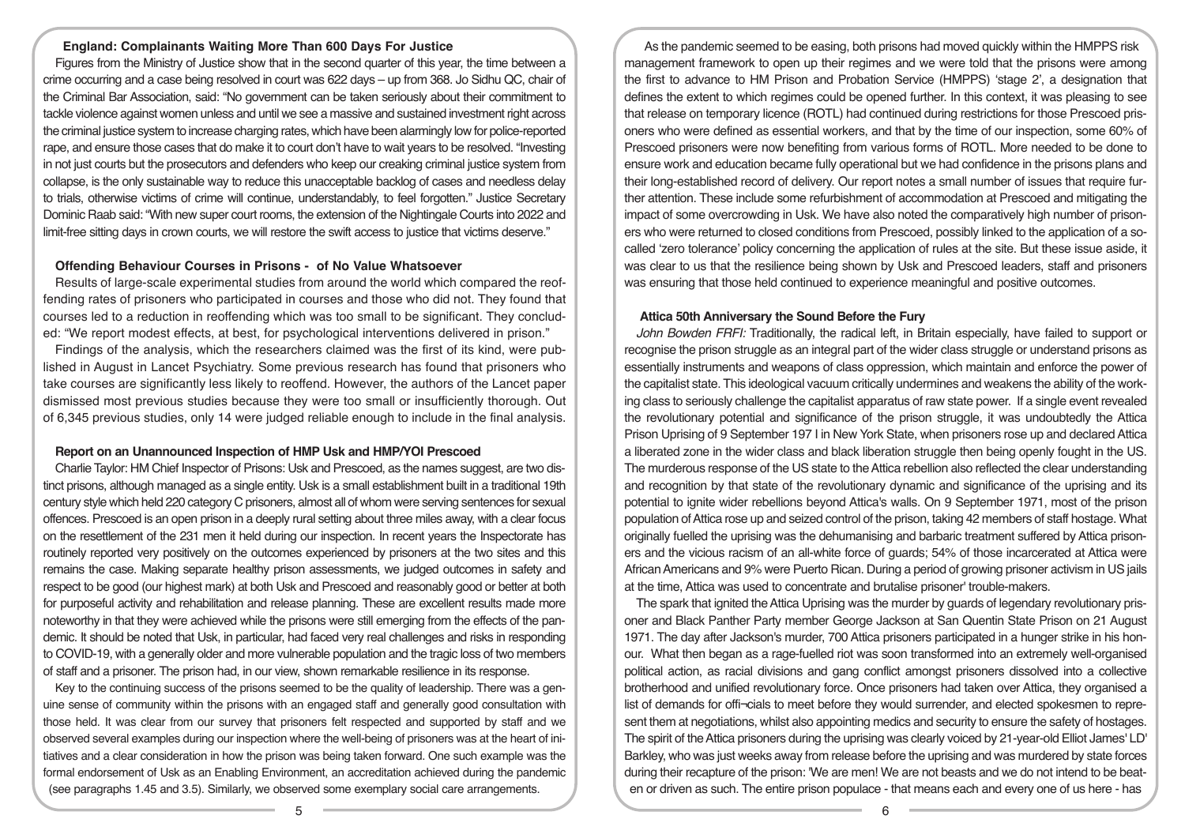#### **England: Complainants Waiting More Than 600 Days For Justice**

Figures from the Ministry of Justice show that in the second quarter of this year, the time between a crime occurring and a case being resolved in court was 622 days – up from 368. Jo Sidhu QC, chair of the Criminal Bar Association, said: "No government can be taken seriously about their commitment to tackle violence against women unless and until we see a massive and sustained investment right across the criminal justice system to increase charging rates, which have been alarmingly low for police-reported rape, and ensure those cases that do make it to court don't have to wait years to be resolved. "Investing in not just courts but the prosecutors and defenders who keep our creaking criminal justice system from collapse, is the only sustainable way to reduce this unacceptable backlog of cases and needless delay to trials, otherwise victims of crime will continue, understandably, to feel forgotten." Justice Secretary Dominic Raab said: "With new super court rooms, the extension of the Nightingale Courts into 2022 and limit-free sitting days in crown courts, we will restore the swift access to justice that victims deserve."

#### **Offending Behaviour Courses in Prisons - of No Value Whatsoever**

Results of large-scale experimental studies from around the world which compared the reoffending rates of prisoners who participated in courses and those who did not. They found that courses led to a reduction in reoffending which was too small to be significant. They concluded: "We report modest effects, at best, for psychological interventions delivered in prison."

Findings of the analysis, which the researchers claimed was the first of its kind, were published in August in Lancet Psychiatry. Some previous research has found that prisoners who take courses are significantly less likely to reoffend. However, the authors of the Lancet paper dismissed most previous studies because they were too small or insufficiently thorough. Out of 6,345 previous studies, only 14 were judged reliable enough to include in the final analysis.

#### **Report on an Unannounced Inspection of HMP Usk and HMP/YOI Prescoed**

Charlie Taylor: HM Chief Inspector of Prisons: Usk and Prescoed, as the names suggest, are two distinct prisons, although managed as a single entity. Usk is a small establishment built in a traditional 19th century style which held 220 category C prisoners, almost all of whom were serving sentences for sexual offences. Prescoed is an open prison in a deeply rural setting about three miles away, with a clear focus on the resettlement of the 231 men it held during our inspection. In recent years the Inspectorate has routinely reported very positively on the outcomes experienced by prisoners at the two sites and this remains the case. Making separate healthy prison assessments, we judged outcomes in safety and respect to be good (our highest mark) at both Usk and Prescoed and reasonably good or better at both for purposeful activity and rehabilitation and release planning. These are excellent results made more noteworthy in that they were achieved while the prisons were still emerging from the effects of the pandemic. It should be noted that Usk, in particular, had faced very real challenges and risks in responding to COVID-19, with a generally older and more vulnerable population and the tragic loss of two members of staff and a prisoner. The prison had, in our view, shown remarkable resilience in its response.

Key to the continuing success of the prisons seemed to be the quality of leadership. There was a genuine sense of community within the prisons with an engaged staff and generally good consultation with those held. It was clear from our survey that prisoners felt respected and supported by staff and we observed several examples during our inspection where the well-being of prisoners was at the heart of initiatives and a clear consideration in how the prison was being taken forward. One such example was the formal endorsement of Usk as an Enabling Environment, an accreditation achieved during the pandemic (see paragraphs 1.45 and 3.5). Similarly, we observed some exemplary social care arrangements.

As the pandemic seemed to be easing, both prisons had moved quickly within the HMPPS risk management framework to open up their regimes and we were told that the prisons were among the first to advance to HM Prison and Probation Service (HMPPS) 'stage 2', a designation that defines the extent to which regimes could be opened further. In this context, it was pleasing to see that release on temporary licence (ROTL) had continued during restrictions for those Prescoed prisoners who were defined as essential workers, and that by the time of our inspection, some 60% of Prescoed prisoners were now benefiting from various forms of ROTL. More needed to be done to ensure work and education became fully operational but we had confidence in the prisons plans and their long-established record of delivery. Our report notes a small number of issues that require further attention. These include some refurbishment of accommodation at Prescoed and mitigating the impact of some overcrowding in Usk. We have also noted the comparatively high number of prisoners who were returned to closed conditions from Prescoed, possibly linked to the application of a socalled 'zero tolerance' policy concerning the application of rules at the site. But these issue aside, it was clear to us that the resilience being shown by Usk and Prescoed leaders, staff and prisoners was ensuring that those held continued to experience meaningful and positive outcomes.

#### **Attica 50th Anniversary the Sound Before the Fury**

*John Bowden FRFI:* Traditionally, the radical left, in Britain especially, have failed to support or recognise the prison struggle as an integral part of the wider class struggle or understand prisons as essentially instruments and weapons of class oppression, which maintain and enforce the power of the capitalist state. This ideological vacuum critically undermines and weakens the ability of the working class to seriously challenge the capitalist apparatus of raw state power. If a single event revealed the revolutionary potential and significance of the prison struggle, it was undoubtedly the Attica Prison Uprising of 9 September 197 I in New York State, when prisoners rose up and declared Attica a liberated zone in the wider class and black liberation struggle then being openly fought in the US. The murderous response of the US state to the Attica rebellion also reflected the clear understanding and recognition by that state of the revolutionary dynamic and significance of the uprising and its potential to ignite wider rebellions beyond Attica's walls. On 9 September 1971, most of the prison population of Attica rose up and seized control of the prison, taking 42 members of staff hostage. What originally fuelled the uprising was the dehumanising and barbaric treatment suffered by Attica prisoners and the vicious racism of an all-white force of guards; 54% of those incarcerated at Attica were African Americans and 9% were Puerto Rican. During a period of growing prisoner activism in US jails at the time, Attica was used to concentrate and brutalise prisoner' trouble-makers.

The spark that ignited the Attica Uprising was the murder by guards of legendary revolutionary prisoner and Black Panther Party member George Jackson at San Quentin State Prison on 21 August 1971. The day after Jackson's murder, 700 Attica prisoners participated in a hunger strike in his honour. What then began as a rage-fuelled riot was soon transformed into an extremely well-organised political action, as racial divisions and gang conflict amongst prisoners dissolved into a collective brotherhood and unified revolutionary force. Once prisoners had taken over Attica, they organised a list of demands for offi-cials to meet before they would surrender, and elected spokesmen to represent them at negotiations, whilst also appointing medics and security to ensure the safety of hostages. The spirit of the Attica prisoners during the uprising was clearly voiced by 21-year-old Elliot James' LD' Barkley, who was just weeks away from release before the uprising and was murdered by state forces during their recapture of the prison: 'We are men! We are not beasts and we do not intend to be beaten or driven as such. The entire prison populace - that means each and every one of us here - has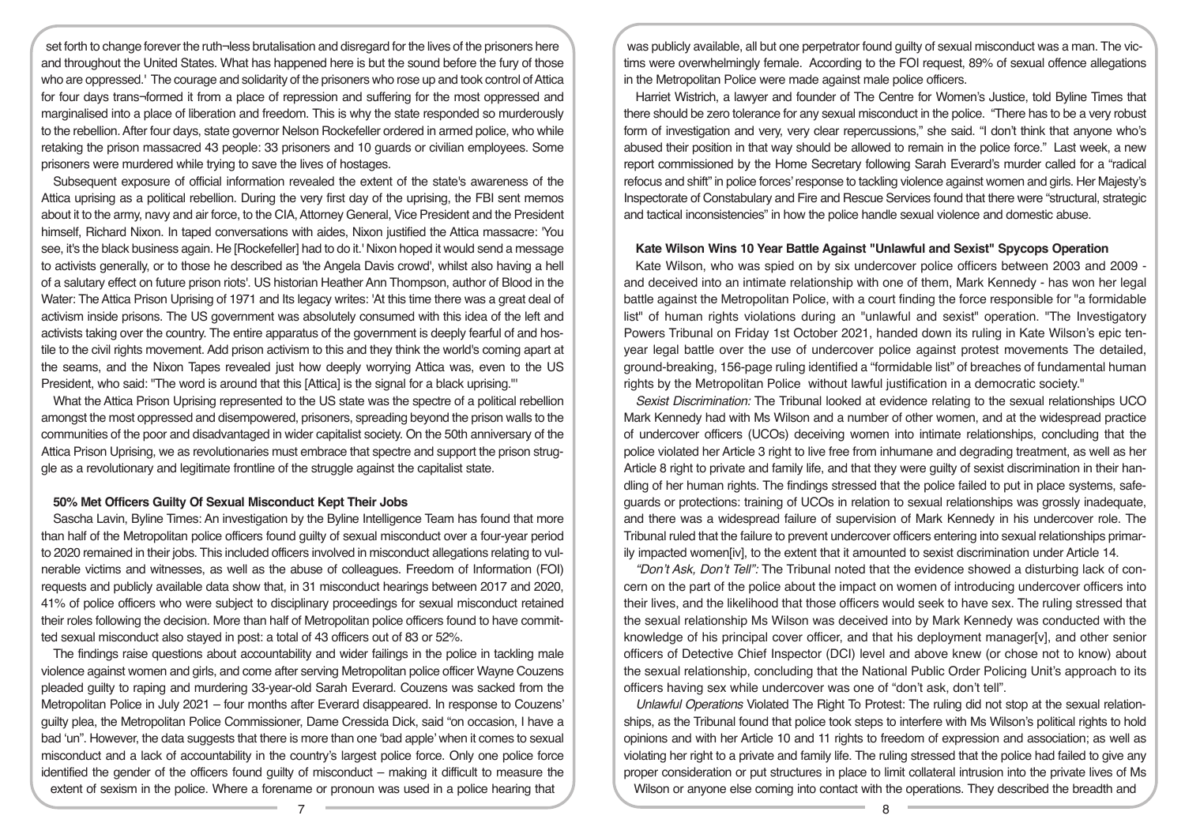set forth to change forever the ruth¬less brutalisation and disregard for the lives of the prisoners here and throughout the United States. What has happened here is but the sound before the fury of those who are oppressed.' The courage and solidarity of the prisoners who rose up and took control of Attica for four days trans¬formed it from a place of repression and suffering for the most oppressed and marginalised into a place of liberation and freedom. This is why the state responded so murderously to the rebellion. After four days, state governor Nelson Rockefeller ordered in armed police, who while retaking the prison massacred 43 people: 33 prisoners and 10 guards or civilian employees. Some prisoners were murdered while trying to save the lives of hostages.

Subsequent exposure of official information revealed the extent of the state's awareness of the Attica uprising as a political rebellion. During the very first day of the uprising, the FBI sent memos about it to the army, navy and air force, to the CIA, Attorney General, Vice President and the President himself, Richard Nixon. In taped conversations with aides, Nixon justified the Attica massacre: 'You see, it's the black business again. He [Rockefeller] had to do it.' Nixon hoped it would send a message to activists generally, or to those he described as 'the Angela Davis crowd', whilst also having a hell of a salutary effect on future prison riots'. US historian Heather Ann Thompson, author of Blood in the Water: The Attica Prison Uprising of 1971 and Its legacy writes: 'At this time there was a great deal of activism inside prisons. The US government was absolutely consumed with this idea of the left and activists taking over the country. The entire apparatus of the government is deeply fearful of and hostile to the civil rights movement. Add prison activism to this and they think the world's coming apart at the seams, and the Nixon Tapes revealed just how deeply worrying Attica was, even to the US President, who said: "The word is around that this [Attica] is the signal for a black uprising."'

What the Attica Prison Uprising represented to the US state was the spectre of a political rebellion amongst the most oppressed and disempowered, prisoners, spreading beyond the prison walls to the communities of the poor and disadvantaged in wider capitalist society. On the 50th anniversary of the Attica Prison Uprising, we as revolutionaries must embrace that spectre and support the prison struggle as a revolutionary and legitimate frontline of the struggle against the capitalist state.

#### **50% Met Officers Guilty Of Sexual Misconduct Kept Their Jobs**

Sascha Lavin, Byline Times: An investigation by the Byline Intelligence Team has found that more than half of the Metropolitan police officers found guilty of sexual misconduct over a four-year period to 2020 remained in their jobs. This included officers involved in misconduct allegations relating to vulnerable victims and witnesses, as well as the abuse of colleagues. Freedom of Information (FOI) requests and publicly available data show that, in 31 misconduct hearings between 2017 and 2020, 41% of police officers who were subject to disciplinary proceedings for sexual misconduct retained their roles following the decision. More than half of Metropolitan police officers found to have committed sexual misconduct also stayed in post: a total of 43 officers out of 83 or 52%.

The findings raise questions about accountability and wider failings in the police in tackling male violence against women and girls, and come after serving Metropolitan police officer Wayne Couzens pleaded guilty to raping and murdering 33-year-old Sarah Everard. Couzens was sacked from the Metropolitan Police in July 2021 – four months after Everard disappeared. In response to Couzens' guilty plea, the Metropolitan Police Commissioner, Dame Cressida Dick, said "on occasion, I have a bad 'un". However, the data suggests that there is more than one 'bad apple' when it comes to sexual misconduct and a lack of accountability in the country's largest police force. Only one police force identified the gender of the officers found guilty of misconduct – making it difficult to measure the extent of sexism in the police. Where a forename or pronoun was used in a police hearing that

was publicly available, all but one perpetrator found guilty of sexual misconduct was a man. The victims were overwhelmingly female. According to the FOI request, 89% of sexual offence allegations in the Metropolitan Police were made against male police officers.

Harriet Wistrich, a lawyer and founder of The Centre for Women's Justice, told Byline Times that there should be zero tolerance for any sexual misconduct in the police. "There has to be a very robust form of investigation and very, very clear repercussions," she said. "I don't think that anyone who's abused their position in that way should be allowed to remain in the police force." Last week, a new report commissioned by the Home Secretary following Sarah Everard's murder called for a "radical refocus and shift" in police forces' response to tackling violence against women and girls. Her Majesty's Inspectorate of Constabulary and Fire and Rescue Services found that there were "structural, strategic and tactical inconsistencies" in how the police handle sexual violence and domestic abuse.

#### **Kate Wilson Wins 10 Year Battle Against "Unlawful and Sexist" Spycops Operation**

Kate Wilson, who was spied on by six undercover police officers between 2003 and 2009 and deceived into an intimate relationship with one of them, Mark Kennedy - has won her legal battle against the Metropolitan Police, with a court finding the force responsible for "a formidable list" of human rights violations during an "unlawful and sexist" operation. "The Investigatory Powers Tribunal on Friday 1st October 2021, handed down its ruling in Kate Wilson's epic tenyear legal battle over the use of undercover police against protest movements The detailed, ground-breaking, 156-page ruling identified a "formidable list" of breaches of fundamental human rights by the Metropolitan Police without lawful justification in a democratic society."

*Sexist Discrimination:* The Tribunal looked at evidence relating to the sexual relationships UCO Mark Kennedy had with Ms Wilson and a number of other women, and at the widespread practice of undercover officers (UCOs) deceiving women into intimate relationships, concluding that the police violated her Article 3 right to live free from inhumane and degrading treatment, as well as her Article 8 right to private and family life, and that they were guilty of sexist discrimination in their handling of her human rights. The findings stressed that the police failed to put in place systems, safeguards or protections: training of UCOs in relation to sexual relationships was grossly inadequate, and there was a widespread failure of supervision of Mark Kennedy in his undercover role. The Tribunal ruled that the failure to prevent undercover officers entering into sexual relationships primarily impacted women[iv], to the extent that it amounted to sexist discrimination under Article 14.

*"Don't Ask, Don't Tell":* The Tribunal noted that the evidence showed a disturbing lack of concern on the part of the police about the impact on women of introducing undercover officers into their lives, and the likelihood that those officers would seek to have sex. The ruling stressed that the sexual relationship Ms Wilson was deceived into by Mark Kennedy was conducted with the knowledge of his principal cover officer, and that his deployment manager[v], and other senior officers of Detective Chief Inspector (DCI) level and above knew (or chose not to know) about the sexual relationship, concluding that the National Public Order Policing Unit's approach to its officers having sex while undercover was one of "don't ask, don't tell".

*Unlawful Operations* Violated The Right To Protest: The ruling did not stop at the sexual relationships, as the Tribunal found that police took steps to interfere with Ms Wilson's political rights to hold opinions and with her Article 10 and 11 rights to freedom of expression and association; as well as violating her right to a private and family life. The ruling stressed that the police had failed to give any proper consideration or put structures in place to limit collateral intrusion into the private lives of Ms Wilson or anyone else coming into contact with the operations. They described the breadth and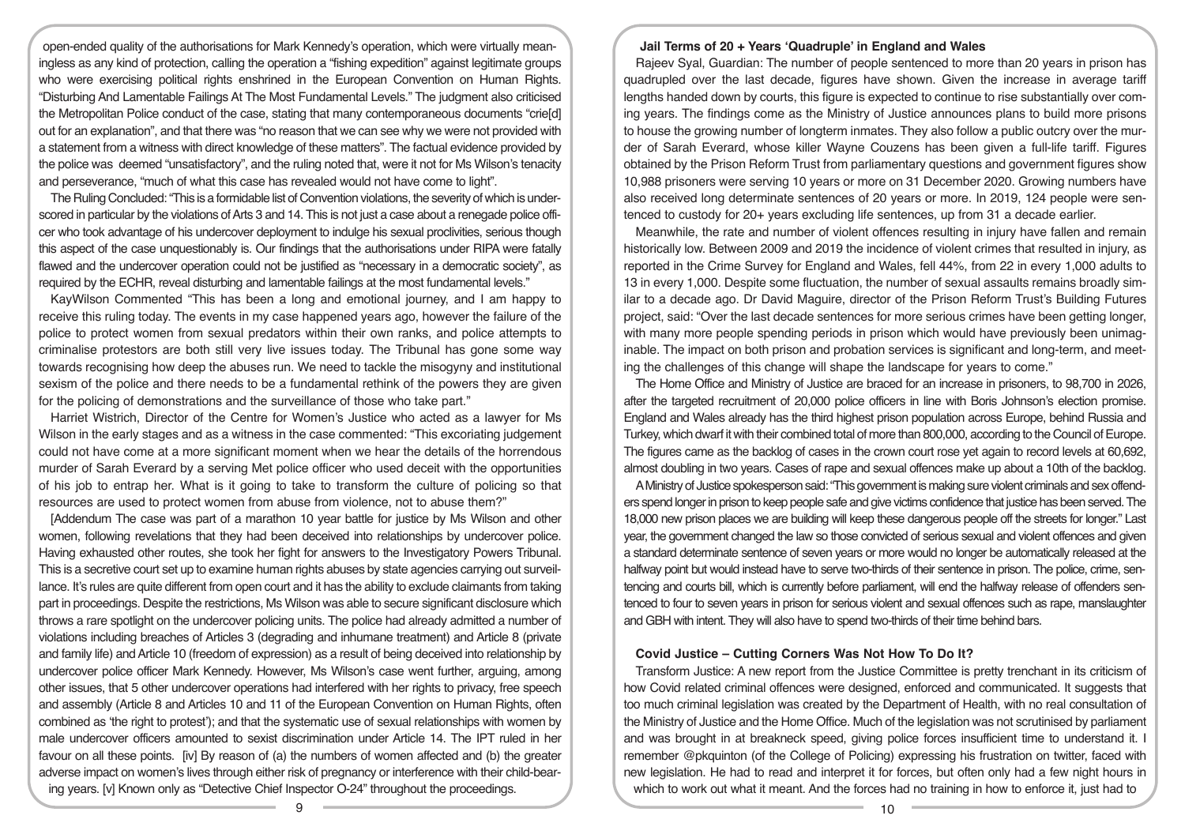open-ended quality of the authorisations for Mark Kennedy's operation, which were virtually meaningless as any kind of protection, calling the operation a "fishing expedition" against legitimate groups who were exercising political rights enshrined in the European Convention on Human Rights. "Disturbing And Lamentable Failings At The Most Fundamental Levels." The judgment also criticised the Metropolitan Police conduct of the case, stating that many contemporaneous documents "crie[d] out for an explanation", and that there was "no reason that we can see why we were not provided with a statement from a witness with direct knowledge of these matters". The factual evidence provided by the police was deemed "unsatisfactory", and the ruling noted that, were it not for Ms Wilson's tenacity and perseverance, "much of what this case has revealed would not have come to light".

The Ruling Concluded: "This is a formidable list of Convention violations, the severity of which is underscored in particular by the violations of Arts 3 and 14. This is not just a case about a renegade police officer who took advantage of his undercover deployment to indulge his sexual proclivities, serious though this aspect of the case unquestionably is. Our findings that the authorisations under RIPA were fatally flawed and the undercover operation could not be justified as "necessary in a democratic society", as required by the ECHR, reveal disturbing and lamentable failings at the most fundamental levels."

KayWilson Commented "This has been a long and emotional journey, and I am happy to receive this ruling today. The events in my case happened years ago, however the failure of the police to protect women from sexual predators within their own ranks, and police attempts to criminalise protestors are both still very live issues today. The Tribunal has gone some way towards recognising how deep the abuses run. We need to tackle the misogyny and institutional sexism of the police and there needs to be a fundamental rethink of the powers they are given for the policing of demonstrations and the surveillance of those who take part."

Harriet Wistrich, Director of the Centre for Women's Justice who acted as a lawyer for Ms Wilson in the early stages and as a witness in the case commented: "This excoriating judgement could not have come at a more significant moment when we hear the details of the horrendous murder of Sarah Everard by a serving Met police officer who used deceit with the opportunities of his job to entrap her. What is it going to take to transform the culture of policing so that resources are used to protect women from abuse from violence, not to abuse them?"

[Addendum The case was part of a marathon 10 year battle for justice by Ms Wilson and other women, following revelations that they had been deceived into relationships by undercover police. Having exhausted other routes, she took her fight for answers to the Investigatory Powers Tribunal. This is a secretive court set up to examine human rights abuses by state agencies carrying out surveillance. It's rules are quite different from open court and it has the ability to exclude claimants from taking part in proceedings. Despite the restrictions, Ms Wilson was able to secure significant disclosure which throws a rare spotlight on the undercover policing units. The police had already admitted a number of violations including breaches of Articles 3 (degrading and inhumane treatment) and Article 8 (private and family life) and Article 10 (freedom of expression) as a result of being deceived into relationship by undercover police officer Mark Kennedy. However, Ms Wilson's case went further, arguing, among other issues, that 5 other undercover operations had interfered with her rights to privacy, free speech and assembly (Article 8 and Articles 10 and 11 of the European Convention on Human Rights, often combined as 'the right to protest'); and that the systematic use of sexual relationships with women by male undercover officers amounted to sexist discrimination under Article 14. The IPT ruled in her favour on all these points. [iv] By reason of (a) the numbers of women affected and (b) the greater adverse impact on women's lives through either risk of pregnancy or interference with their child-bearing years. [v] Known only as "Detective Chief Inspector O-24" throughout the proceedings.

## **Jail Terms of 20 + Years 'Quadruple' in England and Wales**

Rajeev Syal, Guardian: The number of people sentenced to more than 20 years in prison has quadrupled over the last decade, figures have shown. Given the increase in average tariff lengths handed down by courts, this figure is expected to continue to rise substantially over coming years. The findings come as the Ministry of Justice announces plans to build more prisons to house the growing number of longterm inmates. They also follow a public outcry over the murder of Sarah Everard, whose killer Wayne Couzens has been given a full-life tariff. Figures obtained by the Prison Reform Trust from parliamentary questions and government figures show 10,988 prisoners were serving 10 years or more on 31 December 2020. Growing numbers have also received long determinate sentences of 20 years or more. In 2019, 124 people were sentenced to custody for 20+ years excluding life sentences, up from 31 a decade earlier.

Meanwhile, the rate and number of violent offences resulting in injury have fallen and remain historically low. Between 2009 and 2019 the incidence of violent crimes that resulted in injury, as reported in the Crime Survey for England and Wales, fell 44%, from 22 in every 1,000 adults to 13 in every 1,000. Despite some fluctuation, the number of sexual assaults remains broadly similar to a decade ago. Dr David Maguire, director of the Prison Reform Trust's Building Futures project, said: "Over the last decade sentences for more serious crimes have been getting longer, with many more people spending periods in prison which would have previously been unimaginable. The impact on both prison and probation services is significant and long-term, and meeting the challenges of this change will shape the landscape for years to come."

The Home Office and Ministry of Justice are braced for an increase in prisoners, to 98,700 in 2026, after the targeted recruitment of 20,000 police officers in line with Boris Johnson's election promise. England and Wales already has the third highest prison population across Europe, behind Russia and Turkey, which dwarf it with their combined total of more than 800,000, according to the Council of Europe. The figures came as the backlog of cases in the crown court rose yet again to record levels at 60,692, almost doubling in two years. Cases of rape and sexual offences make up about a 10th of the backlog.

A Ministry of Justice spokesperson said: "This government is making sure violent criminals and sex offenders spend longer in prison to keep people safe and give victims confidence that justice has been served. The 18,000 new prison places we are building will keep these dangerous people off the streets for longer." Last year, the government changed the law so those convicted of serious sexual and violent offences and given a standard determinate sentence of seven years or more would no longer be automatically released at the halfway point but would instead have to serve two-thirds of their sentence in prison. The police, crime, sentencing and courts bill, which is currently before parliament, will end the halfway release of offenders sentenced to four to seven years in prison for serious violent and sexual offences such as rape, manslaughter and GBH with intent. They will also have to spend two-thirds of their time behind bars.

#### **Covid Justice – Cutting Corners Was Not How To Do It?**

Transform Justice: A new report from the Justice Committee is pretty trenchant in its criticism of how Covid related criminal offences were designed, enforced and communicated. It suggests that too much criminal legislation was created by the Department of Health, with no real consultation of the Ministry of Justice and the Home Office. Much of the legislation was not scrutinised by parliament and was brought in at breakneck speed, giving police forces insufficient time to understand it. I remember @pkquinton (of the College of Policing) expressing his frustration on twitter, faced with new legislation. He had to read and interpret it for forces, but often only had a few night hours in which to work out what it meant. And the forces had no training in how to enforce it, just had to